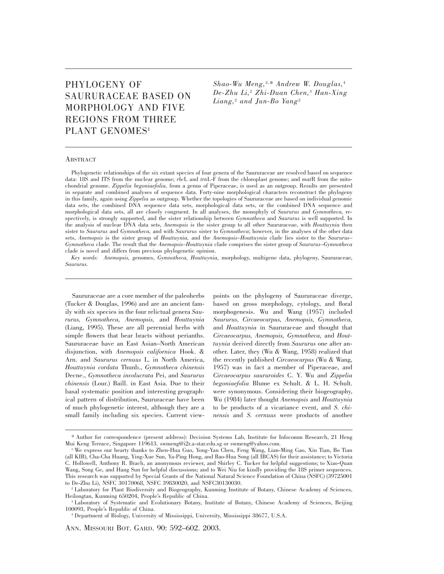# PHYLOGENY OF SAURURACEAE BASED ON MORPHOLOGY AND FIVE REGIONS FROM THREE PLANT GENOMES<sup>1</sup>

*Shao-Wu Meng,*2,\* *Andrew W. Douglas,*<sup>4</sup> *De-Zhu Li,*<sup>2</sup> *Zhi-Duan Chen,*<sup>3</sup> *Han-Xing Liang,*<sup>2</sup> *and Jun-Bo Yang*<sup>2</sup>

## **ABSTRACT**

Phylogenetic relationships of the six extant species of four genera of the Saururaceae are resolved based on sequence data: 18S and ITS from the nuclear genome; *rbc*L and *trn*L-F from the chloroplast genome; and *mat*R from the mitochondrial genome. *Zippelia begoniaefolia,* from a genus of Piperaceae, is used as an outgroup. Results are presented in separate and combined analyses of sequence data. Forty-nine morphological characters reconstruct the phylogeny in this family, again using *Zippelia* as outgroup. Whether the topologies of Saururaceae are based on individual genomic data sets, the combined DNA sequence data sets, morphological data sets, or the combined DNA sequence and morphological data sets, all are closely congruent. In all analyses, the monophyly of *Saururus* and *Gymnotheca,* respectively, is strongly supported, and the sister relationship between *Gymnotheca* and *Saururus* is well supported. In the analysis of nuclear DNA data sets, *Anemopsis* is the sister group to all other Saururaceae, with *Houttuynia* then sister to *Saururus* and *Gymnotheca,* and with *Saururus* sister to *Gymnotheca*; however, in the analyses of the other data sets, *Anemopsis* is the sister group of *Houttuynia,* and the *Anemopsis–Houttuynia* clade lies sister to the *Saururus– Gymnotheca* clade. The result that the *Anemopsis–Houttuynia* clade comprises the sister group of *Saururus–Gymnotheca* clade is novel and differs from previous phylogenetic opinion.

*Key words: Anemopsis,* genomes, *Gymnotheca, Houttuynia,* morphology, multigene data, phylogeny, Saururaceae, *Saururus.*

Saururaceae are a core member of the paleoherbs (Tucker & Douglas, 1996) and are an ancient family with six species in the four relictual genera *Saururus, Gymnotheca, Anemopsis,* and *Houttuynia* (Liang, 1995). These are all perennial herbs with simple flowers that bear bracts without perianths. Saururaceae have an East Asian–North American disjunction, with *Anemopsis californica* Hook. & Arn. and *Saururus cernuus* L. in North America, *Houttuynia cordata* Thunb., *Gymnotheca chinensis* Decne., *Gymnotheca involucrata* Pei, and *Saururus chinensis* (Lour.) Baill. in East Asia. Due to their basal systematic position and interesting geographical pattern of distribution, Saururaceae have been of much phylogenetic interest, although they are a small family including six species. Current view-

points on the phylogeny of Saururaceae diverge, based on gross morphology, cytology, and floral morphogenesis. Wu and Wang (1957) included *Saururus, Circaeocarpus, Anemopsis, Gymnotheca,* and *Houttuynia* in Saururaceae and thought that *Circaeocarpus, Anemopsis, Gymnotheca,* and *Houttuynia* derived directly from *Saururus* one after another. Later, they (Wu & Wang, 1958) realized that the recently published *Circaeocarpus* (Wu & Wang, 1957) was in fact a member of Piperaceae, and *Circaeocarpus saururoides* C. Y. Wu and *Zippelia begoniaefolia* Blume ex Schult. & L. H. Schult. were synonymous. Considering their biogeography, Wu (1984) later thought *Anemopsis* and *Houttuynia* to be products of a vicariance event, and *S. chinensis* and *S. cernuus* were products of another

ANN. MISSOURI BOT. GARD. 90: 592–602. 2003.

<sup>\*</sup> Author for correspondence (present address): Decision Systems Lab, Institute for Infocomm Research, 21 Heng Mui Keng Terrace, Singapore 119613. swmeng@i2r.a-star.edu.sg or swmeng@yahoo.com.

<sup>1</sup> We express our hearty thanks to Zhen-Hua Guo, Yong-Yan Chen, Feng Wang, Lian-Ming Gao, Xin Tian, Bo Tian (all KIB), Cha-Cha Huang, Ying-Xue Sun, Ya-Ping Hong, and Bao-Hua Song (all IBCAS) for their assistance; to Victoria C. Hollowell, Anthony R. Brach, an anonymous reviewer, and Shirley C. Tucker for helpful suggestions; to Xiao-Quan Wang, Song Ge, and Hang Sun for helpful discussions; and to Wei Niu for kindly providing the 18S primer sequences. This research was supported by Special Grants of the National Natural Science Foundation of China (NSFC) (39725001 to De-Zhu Li), NSFC 30170068, NSFC 39830020, and NSFC30130030.

<sup>2</sup> Laboratory for Plant Biodiversity and Biogeography, Kunming Institute of Botany, Chinese Academy of Sciences, Heilongtan, Kunming 650204, People's Republic of China.

<sup>3</sup> Laboratory of Systematic and Evolutionary Botany, Institute of Botany, Chinese Academy of Sciences, Beijing 100093, People's Republic of China.

<sup>4</sup> Department of Biology, University of Mississippi, University, Mississippi 38677, U.S.A.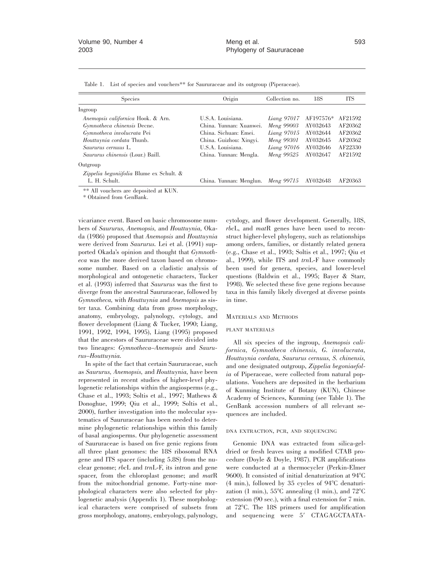|  | Table 1. List of species and vouchers** for Saururaceae and its outgroup (Piperaceae). |  |  |  |  |  |
|--|----------------------------------------------------------------------------------------|--|--|--|--|--|
|--|----------------------------------------------------------------------------------------|--|--|--|--|--|

| <b>Species</b>                           | Origin                  | Collection no. | 18S       | <b>ITS</b> |
|------------------------------------------|-------------------------|----------------|-----------|------------|
| Ingroup                                  |                         |                |           |            |
| Anemopsis californica Hook. & Arn.       | U.S.A. Louisiana.       | Liang 97017    | AF197576* | AF21592    |
| Gymnotheca chinensis Decne.              | China. Yunnan: Xuanwei. | Meng 99003     | AY032643  | AF20362    |
| Gymnotheca involucrata Pei               | China. Sichuan: Emei.   | $Liang\ 97015$ | AY032644  | AF20362    |
| Houttuynia cordata Thunb.                | China. Guizhou: Xingyi. | Meng 99301     | AY032645  | AF20362    |
| Saururus cernuus L.                      | U.S.A. Louisiana.       | Liang 97016    | AY032646  | AF22330    |
| Saururus chinensis (Lour.) Baill.        | China. Yunnan: Mengla.  | Meng 99525     | AY032647  | AF21592    |
| Outgroup                                 |                         |                |           |            |
| Zippelia begoniifolia Blume ex Schult. & |                         |                |           |            |
| L. H. Schult.                            | China. Yunnan: Menglun. | Meng 99715     | AY032648  | AF20363    |

\*\* All vouchers are deposited at KUN.

\* Obtained from GenBank.

vicariance event. Based on basic chromosome numbers of *Saururus, Anemopsis,* and *Houttuynia,* Okada (1986) proposed that *Anemopsis* and *Houttuynia* were derived from *Saururus.* Lei et al. (1991) supported Okada's opinion and thought that *Gymnotheca* was the more derived taxon based on chromosome number. Based on a cladistic analysis of morphological and ontogenetic characters, Tucker et al. (1993) inferred that *Saururus* was the first to diverge from the ancestral Saururaceae, followed by *Gymnotheca,* with *Houttuynia* and *Anemopsis* as sister taxa. Combining data from gross morphology, anatomy, embryology, palynology, cytology, and flower development (Liang & Tucker, 1990; Liang, 1991, 1992, 1994, 1995), Liang (1995) proposed that the ancestors of Saururaceae were divided into two lineages: *Gymnotheca–Anemopsis* and *Saururus–Houttuynia.*

In spite of the fact that certain Saururaceae, such as *Saururus, Anemopsis,* and *Houttuynia,* have been represented in recent studies of higher-level phylogenetic relationships within the angiosperms (e.g., Chase et al., 1993; Soltis et al., 1997; Mathews & Donoghue, 1999; Qiu et al., 1999; Soltis et al., 2000), further investigation into the molecular systematics of Saururaceae has been needed to determine phylogenetic relationships within this family of basal angiosperms. Our phylogenetic assessment of Saururaceae is based on five genic regions from all three plant genomes: the 18S ribosomal RNA gene and ITS spacer (including 5.8S) from the nuclear genome; *rbc*L and *trn*L-F, its intron and gene spacer, from the chloroplast genome; and *mat*R from the mitochondrial genome. Forty-nine morphological characters were also selected for phylogenetic analysis (Appendix 1). These morphological characters were comprised of subsets from gross morphology, anatomy, embryology, palynology,

cytology, and flower development. Generally, 18S, *rbc*L, and *mat*R genes have been used to reconstruct higher-level phylogeny, such as relationships among orders, families, or distantly related genera (e.g., Chase et al., 1993; Soltis et al., 1997; Qiu et al., 1999), while ITS and *trn*L-F have commonly been used for genera, species, and lower-level questions (Baldwin et al., 1995; Bayer & Starr, 1998). We selected these five gene regions because taxa in this family likely diverged at diverse points in time.

#### MATERIALS AND METHODS

#### PLANT MATERIALS

All six species of the ingroup, *Anemopsis californica, Gymnotheca chinensis, G. involucrata, Houttuynia cordata, Saururus cernuus, S. chinensis,* and one designated outgroup, *Zippelia begoniaefolia* of Piperaceae, were collected from natural populations. Vouchers are deposited in the herbarium of Kunming Institute of Botany (KUN), Chinese Academy of Sciences, Kunming (see Table 1). The GenBank accession numbers of all relevant sequences are included.

#### DNA EXTRACTION, PCR, AND SEQUENCING

Genomic DNA was extracted from silica-geldried or fresh leaves using a modified CTAB procedure (Doyle & Doyle, 1987). PCR amplifications were conducted at a thermocycler (Perkin-Elmer 9600). It consisted of initial denaturization at  $94^{\circ}$ C  $(4 \text{ min.})$ , followed by 35 cycles of 94 $\degree$ C denaturization (1 min.),  $55^{\circ}$ C annealing (1 min.), and  $72^{\circ}$ C extension (90 sec.), with a final extension for 7 min. at  $72^{\circ}$ C. The 18S primers used for amplification and sequencing were 5' CTAGAGCTAATA-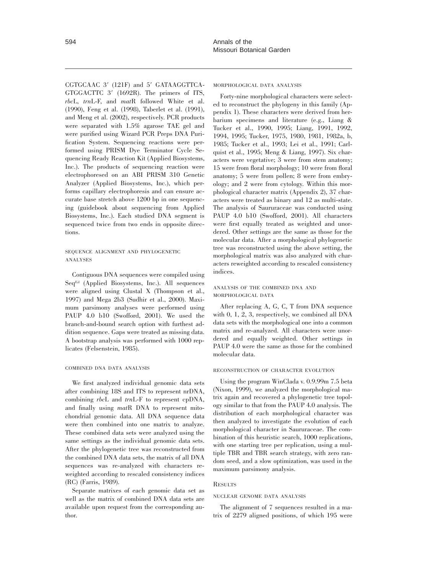CGTGCAAC 3' (121F) and 5' GATAAGGTTCA- $GTGGACTTC$  3' (1692R). The primers of ITS, *rbc*L, *trn*L-F, and *mat*R followed White et al. (1990), Feng et al. (1998), Taberlet et al. (1991), and Meng et al. (2002), respectively. PCR products were separated with 1.5% agarose TAE gel and were purified using Wizard PCR Preps DNA Purification System. Sequencing reactions were performed using PRISM Dye Terminator Cycle Sequencing Ready Reaction Kit (Applied Biosystems, Inc.). The products of sequencing reaction were electrophoresed on an ABI PRISM 310 Genetic Analyzer (Applied Biosystems, Inc.), which performs capillary electrophoresis and can ensure accurate base stretch above 1200 bp in one sequencing (guidebook about sequencing from Applied Biosystems, Inc.). Each studied DNA segment is sequenced twice from two ends in opposite directions.

# SEQUENCE ALIGNMENT AND PHYLOGENETIC ANALYSES

Contiguous DNA sequences were compiled using SeqEd (Applied Biosystems, Inc.). All sequences were aligned using Clustal X (Thompson et al., 1997) and Mega 2b3 (Sudhir et al., 2000). Maximum parsimony analyses were performed using PAUP 4.0 b10 (Swofford, 2001). We used the branch-and-bound search option with furthest addition sequence. Gaps were treated as missing data. A bootstrap analysis was performed with 1000 replicates (Felsenstein, 1985).

# COMBINED DNA DATA ANALYSIS

We first analyzed individual genomic data sets after combining 18S and ITS to represent nrDNA, combining *rbc*L and *trn*L-F to represent cpDNA, and finally using *mat*R DNA to represent mitochondrial genomic data. All DNA sequence data were then combined into one matrix to analyze. These combined data sets were analyzed using the same settings as the individual genomic data sets. After the phylogenetic tree was reconstructed from the combined DNA data sets, the matrix of all DNA sequences was re-analyzed with characters reweighted according to rescaled consistency indices (RC) (Farris, 1989).

Separate matrixes of each genomic data set as well as the matrix of combined DNA data sets are available upon request from the corresponding author.

#### MORPHOLOGICAL DATA ANALYSIS

Forty-nine morphological characters were selected to reconstruct the phylogeny in this family (Appendix 1). These characters were derived from herbarium specimens and literature (e.g., Liang & Tucker et al., 1990, 1995; Liang, 1991, 1992, 1994, 1995; Tucker, 1975, 1980, 1981, 1982a, b, 1985; Tucker et al., 1993; Lei et al., 1991; Carlquist et al., 1995; Meng & Liang, 1997). Six characters were vegetative; 3 were from stem anatomy; 15 were from floral morphology; 10 were from floral anatomy; 5 were from pollen; 8 were from embryology; and 2 were from cytology. Within this morphological character matrix (Appendix 2), 37 characters were treated as binary and 12 as multi-state. The analysis of Saururaceae was conducted using PAUP 4.0 b10 (Swofford, 2001). All characters were first equally treated as weighted and unordered. Other settings are the same as those for the molecular data. After a morphological phylogenetic tree was reconstructed using the above setting, the morphological matrix was also analyzed with characters reweighted according to rescaled consistency indices.

# ANALYSIS OF THE COMBINED DNA AND MORPHOLOGICAL DATA

After replacing A, G, C, T from DNA sequence with 0, 1, 2, 3, respectively, we combined all DNA data sets with the morphological one into a common matrix and re-analyzed. All characters were unordered and equally weighted. Other settings in PAUP 4.0 were the same as those for the combined molecular data.

#### RECONSTRUCTION OF CHARACTER EVOLUTION

Using the program WinClada v. 0.9.99m 7.5 beta (Nixon, 1999), we analyzed the morphological matrix again and recovered a phylogenetic tree topology similar to that from the PAUP 4.0 analysis. The distribution of each morphological character was then analyzed to investigate the evolution of each morphological character in Saururaceae. The combination of this heuristic search, 1000 replications, with one starting tree per replication, using a multiple TBR and TBR search strategy, with zero random seed, and a slow optimization, was used in the maximum parsimony analysis.

## **RESULTS**

## NUCLEAR GENOME DATA ANALYSIS

The alignment of 7 sequences resulted in a matrix of 2279 aligned positions, of which 195 were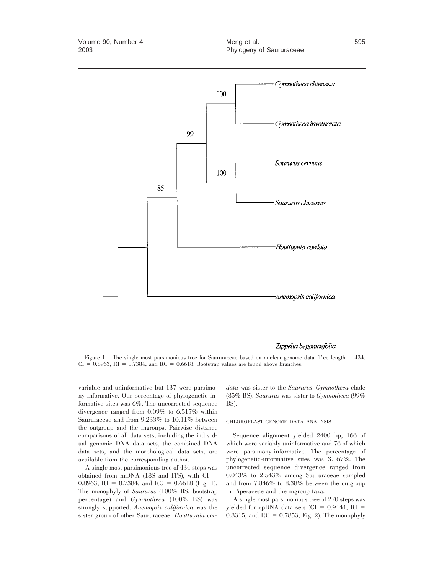

Figure 1. The single most parsimonious tree for Saururaceae based on nuclear genome data. Tree length = 434,  $CI = 0.8963$ ,  $RI = 0.7384$ , and  $RC = 0.6618$ . Bootstrap values are found above branches.

variable and uninformative but 137 were parsimony-informative. Our percentage of phylogenetic-informative sites was 6%. The uncorrected sequence divergence ranged from 0.09% to 6.517% within Saururaceae and from 9.233% to 10.11% between the outgroup and the ingroups. Pairwise distance comparisons of all data sets, including the individual genomic DNA data sets, the combined DNA data sets, and the morphological data sets, are available from the corresponding author.

A single most parsimonious tree of 434 steps was obtained from  $nrDNA$  (18S and ITS), with  $CI =$ 0.8963, RI = 0.7384, and RC = 0.6618 (Fig. 1). The monophyly of *Saururus* (100% BS: bootstrap percentage) and *Gymnotheca* (100% BS) was strongly supported. *Anemopsis californica* was the sister group of other Saururaceae. *Houttuynia cor-* *data* was sister to the *Saururus–Gymnotheca* clade (85% BS). *Saururus* was sister to *Gymnotheca* (99% BS).

#### CHLOROPLAST GENOME DATA ANALYSIS

Sequence alignment yielded 2400 bp, 166 of which were variably uninformative and 76 of which were parsimony-informative. The percentage of phylogenetic-informative sites was 3.167%. The uncorrected sequence divergence ranged from 0.043% to 2.543% among Saururaceae sampled and from 7.846% to 8.38% between the outgroup in Piperaceae and the ingroup taxa.

A single most parsimonious tree of 270 steps was yielded for cpDNA data sets (CI =  $0.9444$ , RI = 0.8315, and  $RC = 0.7853$ ; Fig. 2). The monophyly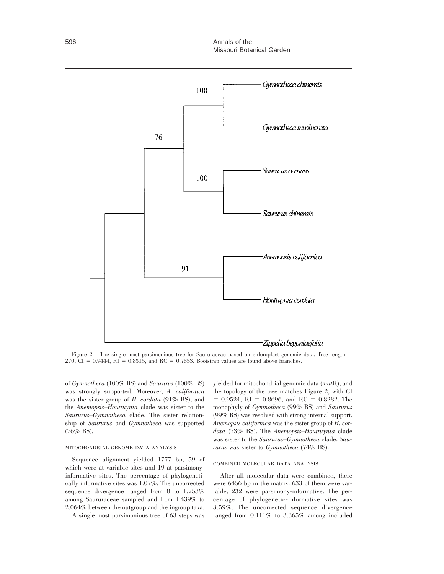

Figure 2. The single most parsimonious tree for Saururaceae based on chloroplast genomic data. Tree length =  $270$ , CI = 0.9444, RI = 0.8315, and RC = 0.7853. Bootstrap values are found above branches.

of *Gymnotheca* (100% BS) and *Saururus* (100% BS) was strongly supported. Moreover, *A. californica* was the sister group of *H. cordata* (91% BS), and the *Anemopsis–Houttuynia* clade was sister to the *Saururus–Gymnotheca* clade. The sister relationship of *Saururus* and *Gymnotheca* was supported (76% BS).

## MITOCHONDRIAL GENOME DATA ANALYSIS

Sequence alignment yielded 1777 bp, 59 of which were at variable sites and 19 at parsimonyinformative sites. The percentage of phylogenetically informative sites was 1.07%. The uncorrected sequence divergence ranged from 0 to 1.753% among Saururaceae sampled and from 1.439% to 2.064% between the outgroup and the ingroup taxa.

A single most parsimonious tree of 63 steps was

yielded for mitochondrial genomic data (*mat*R), and the topology of the tree matches Figure 2, with CI  $= 0.9524$ , RI  $= 0.8696$ , and RC  $= 0.8282$ . The monophyly of *Gymnotheca* (99% BS) and *Saururus* (99% BS) was resolved with strong internal support. *Anemopsis californica* was the sister group of *H. cordata* (73% BS). The *Anemopsis–Houttuynia* clade was sister to the *Saururus–Gymnotheca* clade. *Saururus* was sister to *Gymnotheca* (74% BS).

#### COMBINED MOLECULAR DATA ANALYSIS

After all molecular data were combined, there were 6456 bp in the matrix: 633 of them were variable, 232 were parsimony-informative. The percentage of phylogenetic-informative sites was 3.59%. The uncorrected sequence divergence ranged from 0.111% to 3.365% among included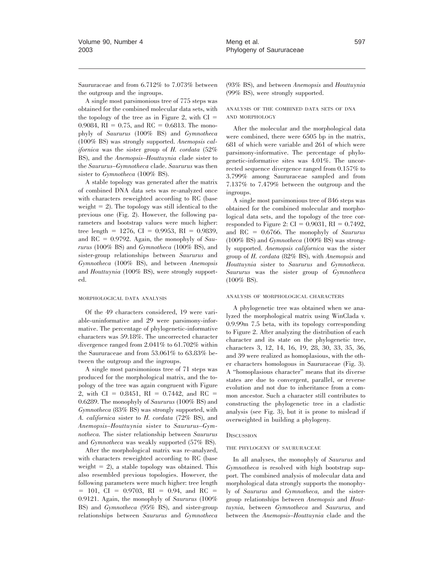Saururaceae and from 6.712% to 7.073% between the outgroup and the ingroups.

A single most parsimonious tree of 775 steps was obtained for the combined molecular data sets, with the topology of the tree as in Figure 2, with  $CI =$ 0.9084, RI = 0.75, and RC = 0.6813. The monophyly of *Saururus* (100% BS) and *Gymnotheca* (100% BS) was strongly supported. *Anemopsis californica* was the sister group of *H. cordata* (52% BS), and the *Anemopsis–Houttuynia* clade sister to the *Saururus–Gymnotheca* clade. *Saururus* was then sister to *Gymnotheca* (100% BS).

A stable topology was generated after the matrix of combined DNA data sets was re-analyzed once with characters reweighted according to RC (base weight  $= 2$ ). The topology was still identical to the previous one (Fig. 2). However, the following parameters and bootstrap values were much higher: tree length = 1276, CI = 0.9953, RI = 0.9839, and  $RC = 0.9792$ . Again, the monophyly of *Saururus* (100% BS) and *Gymnotheca* (100% BS), and sister-group relationships between *Saururus* and *Gymnotheca* (100% BS), and between *Anemopsis* and *Houttuynia* (100% BS), were strongly supported.

#### MORPHOLOGICAL DATA ANALYSIS

Of the 49 characters considered, 19 were variable-uninformative and 29 were parsimony-informative. The percentage of phylogenetic-informative characters was 59.18%. The uncorrected character divergence ranged from 2.041% to 61.702% within the Saururaceae and from 53.061% to 63.83% between the outgroup and the ingroups.

A single most parsimonious tree of 71 steps was produced for the morphological matrix, and the topology of the tree was again congruent with Figure 2, with CI = 0.8451, RI = 0.7442, and RC = 0.6289. The monophyly of *Saururus* (100% BS) and *Gymnotheca* (83% BS) was strongly supported, with *A. californica* sister to *H. cordata* (72% BS), and *Anemopsis–Houttuynia* sister to *Saururus–Gymnotheca.* The sister relationship between *Saururus* and *Gymnotheca* was weakly supported (57% BS).

After the morphological matrix was re-analyzed, with characters reweighted according to RC (base weight  $= 2$ ), a stable topology was obtained. This also resembled previous topologies. However, the following parameters were much higher: tree length  $= 101$ , CI = 0.9703, RI = 0.94, and RC = 0.9121. Again, the monophyly of *Saururus* (100% BS) and *Gymnotheca* (95% BS), and sister-group relationships between *Saururus* and *Gymnotheca* (93% BS), and between *Anemopsis* and *Houttuynia* (99% BS), were strongly supported.

## ANALYSIS OF THE COMBINED DATA SETS OF DNA AND MORPHOLOGY

After the molecular and the morphological data were combined, there were 6505 bp in the matrix, 681 of which were variable and 261 of which were parsimony-informative. The percentage of phylogenetic-informative sites was 4.01%. The uncorrected sequence divergence ranged from 0.157% to 3.799% among Saururaceae sampled and from 7.137% to 7.479% between the outgroup and the ingroups.

A single most parsimonious tree of 846 steps was obtained for the combined molecular and morphological data sets, and the topology of the tree corresponded to Figure 2:  $CI = 0.9031$ ,  $RI = 0.7492$ , and RC = 0.6766. The monophyly of *Saururus* (100% BS) and *Gymnotheca* (100% BS) was strongly supported. *Anemopsis californica* was the sister group of *H. cordata* (82% BS), with *Anemopsis* and *Houttuynia* sister to *Saururus* and *Gymnotheca. Saururus* was the sister group of *Gymnotheca* (100% BS).

#### ANALYSIS OF MORPHOLOGICAL CHARACTERS

A phylogenetic tree was obtained when we analyzed the morphological matrix using WinClada v. 0.9.99m 7.5 beta, with its topology corresponding to Figure 2. After analyzing the distribution of each character and its state on the phylogenetic tree, characters 3, 12, 14, 16, 19, 28, 30, 33, 35, 36, and 39 were realized as homoplasious, with the other characters homologous in Saururaceae (Fig. 3). A ''homoplasious character'' means that its diverse states are due to convergent, parallel, or reverse evolution and not due to inheritance from a common ancestor. Such a character still contributes to constructing the phylogenetic tree in a cladistic analysis (see Fig. 3), but it is prone to mislead if overweighted in building a phylogeny.

#### **DISCUSSION**

#### THE PHYLOGENY OF SAURURACEAE

In all analyses, the monophyly of *Saururus* and *Gymnotheca* is resolved with high bootstrap support. The combined analysis of molecular data and morphological data strongly supports the monophyly of *Saururus* and *Gymnotheca,* and the sistergroup relationships between *Anemopsis* and *Houttuynia,* between *Gymnotheca* and *Saururus,* and between the *Anemopsis–Houttuynia* clade and the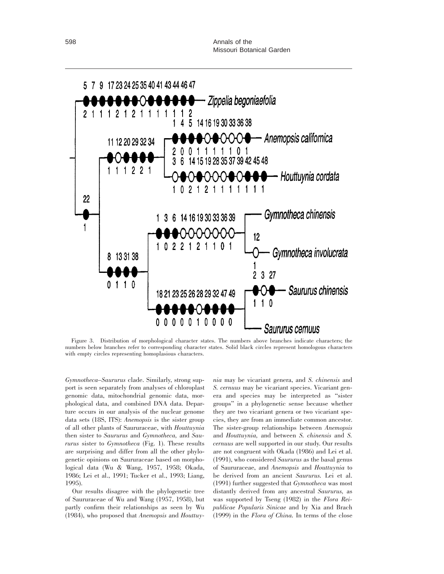

Figure 3. Distribution of morphological character states. The numbers above branches indicate characters; the numbers below branches refer to corresponding character states. Solid black circles represent homologous characters with empty circles representing homoplasious characters.

*Gymnotheca–Saururus* clade. Similarly, strong support is seen separately from analyses of chloroplast genomic data, mitochondrial genomic data, morphological data, and combined DNA data. Departure occurs in our analysis of the nuclear genome data sets (18S, ITS): *Anemopsis* is the sister group of all other plants of Saururaceae, with *Houttuynia* then sister to *Saururus* and *Gymnotheca,* and *Saururus* sister to *Gymnotheca* (Fig. 1). These results are surprising and differ from all the other phylogenetic opinions on Saururaceae based on morphological data (Wu & Wang, 1957, 1958; Okada, 1986; Lei et al., 1991; Tucker et al., 1993; Liang, 1995).

Our results disagree with the phylogenetic tree of Saururaceae of Wu and Wang (1957, 1958), but partly confirm their relationships as seen by Wu (1984), who proposed that *Anemopsis* and *Houttuy-*

*nia* may be vicariant genera, and *S. chinensis* and *S. cernuus* may be vicariant species. Vicariant genera and species may be interpreted as ''sister groups'' in a phylogenetic sense because whether they are two vicariant genera or two vicariant species, they are from an immediate common ancestor. The sister-group relationships between *Anemopsis* and *Houttuynia,* and between *S. chinensis* and *S. cernuus* are well supported in our study. Our results are not congruent with Okada (1986) and Lei et al. (1991), who considered *Saururus* as the basal genus of Saururaceae, and *Anemopsis* and *Houttuynia* to be derived from an ancient *Saururus.* Lei et al. (1991) further suggested that *Gymnotheca* was most distantly derived from any ancestral *Saururus,* as was supported by Tseng (1982) in the *Flora Reipublicae Popularis Sinicae* and by Xia and Brach (1999) in the *Flora of China.* In terms of the close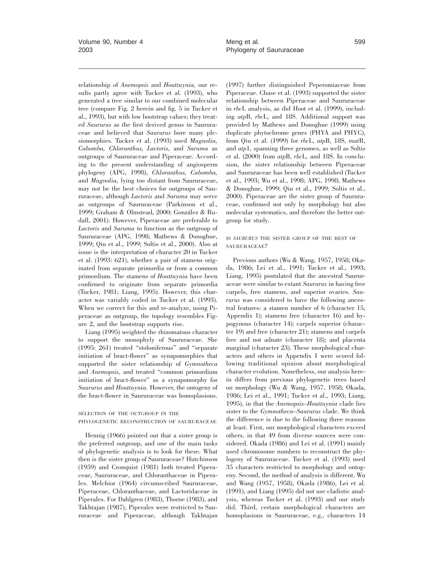relationship of *Anemopsis* and *Houttuynia,* our results partly agree with Tucker et al. (1993), who generated a tree similar to our combined molecular tree (compare Fig. 2 herein and fig. 5 in Tucker et al., 1993), but with low bootstrap values; they treated *Saururus* as the first derived genus in Saururaceae and believed that *Saururus* bore many plesiomorphies. Tucker et al. (1993) used *Magnolia, Cabomba, Chloranthus, Lactoris,* and *Saruma* as outgroups of Saururaceae and Piperaceae. According to the present understanding of angiosperm phylogeny (APG, 1998), *Chloranthus, Cabomba,* and *Magnolia,* lying too distant from Saururaceae, may not be the best choices for outgroups of Saururaceae, although *Lactoris* and *Saruma* may serve as outgroups of Saururaceae (Parkinson et al., 1999; Graham & Olmstead, 2000; González & Rudall, 2001). However, Piperaceae are preferable to *Lactoris* and *Saruma* to function as the outgroup of Saururaceae (APG, 1998; Mathews & Donoghue, 1999; Qiu et al., 1999; Soltis et al., 2000). Also at issue is the interpretation of character 20 in Tucker et al. (1993: 621), whether a pair of stamens originated from separate primordia or from a common primordium. The stamens of *Houttuynia* have been confirmed to originate from separate primordia (Tucker, 1981; Liang, 1995). However, this character was variably coded in Tucker et al. (1993). When we correct for this and re-analyze, using Piperaceae as outgroup, the topology resembles Figure 2, and the bootstrap supports rise.

Liang (1995) weighted the rhizomatous character to support the monophyly of Saururaceae. She (1995: 261) treated ''stoloniferous'' and ''separate initiation of bract-flower'' as synapomorphies that supported the sister relationship of *Gymnotheca* and *Anemopsis,* and treated ''common primordium initiation of bract-flower'' as a synapomorphy for *Saururus* and *Houttuynia.* However, the ontogeny of the bract-flower in Saururaceae was homoplasious.

# SELECTION OF THE OUTGROUP IN THE PHYLOGENETIC RECONSTRUCTION OF SAURURACEAE

Hennig (1966) pointed out that a sister group is the preferred outgroup, and one of the main tasks of phylogenetic analysis is to look for these. What then is the sister group of Saururaceae? Hutchinson (1959) and Cronquist (1981) both treated Piperaceae, Saururaceae, and Chloranthaceae in Piperales. Melchior (1964) circumscribed Saururaceae, Piperaceae, Chloranthaceae, and Lactoridaceae in Piperales. For Dahlgren (1983), Thorne (1983), and Takhtajan (1987), Piperales were restricted to Saururaceae and Piperaceae, although Takhtajan

(1997) further distinguished Peperomiaceae from Piperaceae. Chase et al. (1993) supported the sister relationship between Piperaceae and Saururaceae in *rbc*L analysis, as did Hoot et al. (1999), including *atp*B, *rbc*L, and 18S. Additional support was provided by Mathews and Donoghue (1999) using duplicate phytochrome genes (PHYA and PHYC), from Qiu et al. (1999) for *rbc*L, *atp*B, 18S, *mat*R, and *atp*1, spanning three genomes, as well as Soltis et al. (2000) from *atp*B, *rbc*L, and 18S. In conclusion, the sister relationship between Piperaceae and Saururaceae has been well established (Tucker et al., 1993; Wu et al., 1998; APG, 1998; Mathews & Donoghue, 1999; Qiu et al., 1999; Soltis et al., 2000). Piperaceae are the sister group of Saururaceae, confirmed not only by morphology but also molecular systematics, and therefore the better outgroup for study.

# IS *SAURURUS* THE SISTER GROUP OF THE REST OF SAURURACEAE?

Previous authors (Wu & Wang, 1957, 1958; Okada, 1986; Lei et al., 1991; Tucker et al., 1993; Liang, 1995) postulated that the ancestral Saururaceae were similar to extant *Saururus* in having free carpels, free stamens, and superior ovaries. *Saururus* was considered to have the following ancestral features: a stamen number of 6 (character 15, Appendix 1); stamens free (character 16) and hypogynous (character 14); carpels superior (character 19) and free (character 21); stamens and carpels free and not adnate (character 18); and placenta marginal (character 23). These morphological characters and others in Appendix 1 were scored following traditional opinion about morphological character evolution. Nonetheless, our analysis herein differs from previous phylogenetic trees based on morphology (Wu & Wang, 1957, 1958; Okada, 1986; Lei et al., 1991; Tucker et al., 1993; Liang, 1995), in that the *Anemopsis–Houttuynia* clade lies sister to the *Gymnotheca–Saururus* clade. We think the difference is due to the following three reasons at least. First, our morphological characters exceed others, in that 49 from diverse sources were considered. Okada (1986) and Lei et al. (1991) mainly used chromosome numbers to reconstruct the phylogeny of Saururaceae. Tucker et al. (1993) used 35 characters restricted to morphology and ontogeny. Second, the method of analysis is different. Wu and Wang (1957, 1958), Okada (1986), Lei et al. (1991), and Liang (1995) did not use cladistic analysis, whereas Tucker et al. (1993) and our study did. Third, certain morphological characters are homoplasious in Saururaceae, e.g., characters 14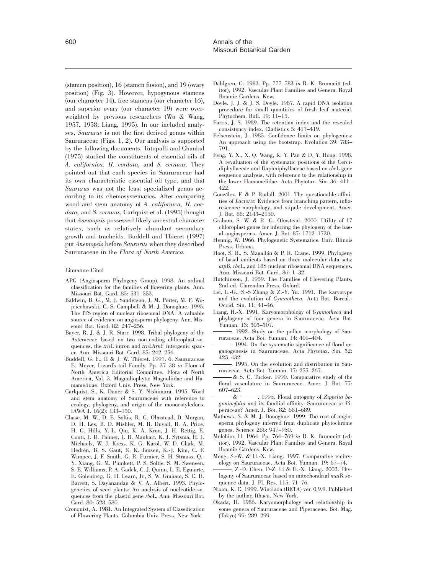(stamen position), 16 (stamen fusion), and 19 (ovary position) (Fig. 3). However, hypogynous stamens (our character 14), free stamens (our character 16), and superior ovary (our character 19) were overweighted by previous researchers (Wu & Wang, 1957, 1958; Liang, 1995). In our included analyses, *Saururus* is not the first derived genus within Saururaceae (Figs. 1, 2). Our analysis is supported by the following documents. Tutupalli and Chaubal (1975) studied the constituents of essential oils of *A. californica, H. cordata,* and *S. cernuus.* They pointed out that each species in Saururaceae had its own characteristic essential oil type, and that *Saururus* was not the least specialized genus according to its chemosystematics. After comparing wood and stem anatomy of *A. californica, H. cordata,* and *S. cernuus,* Carlquist et al. (1995) thought that *Anemopsis* possessed likely ancestral character states, such as relatively abundant secondary growth and tracheids. Buddell and Thieret (1997) put *Anemopsis* before *Saururus* when they described Saururaceae in the *Flora of North America.*

#### Literature Cited

- APG (Angiosperm Phylogeny Group). 1998. An ordinal classification for the families of flowering plants. Ann. Missouri Bot. Gard. 85: 531–553.
- Baldwin, B. G., M. J. Sanderson, J. M. Porter, M. F. Wojciechowski, C. S. Campbell & M. J. Donoghue. 1995. The ITS region of nuclear ribosomal DNA: A valuable source of evidence on angiosperm phylogeny. Ann. Missouri Bot. Gard. 82: 247–256.
- Bayer, R. J. & J. R. Starr. 1998. Tribal phylogeny of the Asteraceae based on two non-coding chloroplast sequences, the *trn*L intron and *trn*L/*trn*F intergenic spacer. Ann. Missouri Bot. Gard. 85: 242–256.
- Buddell, G. F., II & J. W. Thieret. 1997. 6. Saururaceae E. Meyer, Lizard's-tail Family. Pp. 37–38 *in* Flora of North America Editorial Committee, Flora of North America, Vol. 3. Magnoliophyta: Magnoliidae and Hamamelidae. Oxford Univ. Press, New York.
- Carlquist, S., K. Dauer & S. Y. Nishimura. 1995. Wood and stem anatomy of Saururaceae with reference to ecology, phylogeny, and origin of the monocotyledons. IAWA J. 16(2): 133–150.
- Chase, M. W., D. E. Soltis, R. G. Olmstead, D. Morgan, D. H. Les, B. D. Mishler, M. R. Duvall, R. A. Price, H. G. Hills, Y.-L. Qiu, K. A. Kron, J. H. Rettig, E. Conti, J. D. Palmer, J. R. Manhart, K. J. Sytsma, H. J. Michaels, W. J. Kress, K. G. Karol, W. D. Clark, M. Hedrén, B. S. Gaut, R. K. Jansen, K.-J. Kim, C. F. Wimpee, J. F. Smith, G. R. Furnier, S. H. Strauss, Q.- Y. Xiang, G. M. Plunkett, P. S. Soltis, S. M. Swensen, S. E. Williams, P. A. Gadek, C. J. Quinn, L. E. Eguiarte, E. Golenberg, G. H. Learn, Jr., S. W. Graham, S. C. H. Barrett, S. Dayanandan & V. A. Albert. 1993. Phylogenetics of seed plants: An analysis of nucleotide sequences from the plastid gene *rbc*L. Ann. Missouri Bot. Gard. 80: 528–580.
- Cronquist, A. 1981. An Integrated System of Classification of Flowering Plants. Columbia Univ. Press, New York.
- Dahlgren, G. 1983. Pp. 777–783 *in* R. K. Brummitt (editor), 1992. Vascular Plant Families and Genera. Royal Botanic Gardens, Kew.
- Doyle, J. J. & J. S. Doyle. 1987. A rapid DNA isolation procedure for small quantities of fresh leaf material. Phytochem. Bull. 19: 11–15.
- Farris, J. S. 1989. The retention index and the rescaled consistency index. Cladistics 5: 417–419.
- Felsenstein, J. 1985. Confidence limits on phylogenies: An approach using the bootstrap. Evolution 39: 783– 791.
- Feng, Y. X., X. Q. Wang, K. Y. Pan & D. Y. Hong. 1998. A revaluation of the systematic positions of the Cercidiphyllaceae and Daphniphyllaceae based on *rbc*L gene sequence analysis, with reference to the relationship in the lower Hamamelidae. Acta Phytotax. Sin. 36: 411– 422.
- González, F. & P. Rudall. 2001. The questionable affinities of *Lactoris*: Evidence from branching pattern, inflorescence morphology, and stipule development. Amer. J. Bot. 88: 2143–2150.
- Graham, S. W. & R. G. Olmstead. 2000. Utility of 17 chloroplast genes for inferring the phylogeny of the basal angiosperms. Amer. J. Bot. 87: 1712–1730.
- Hennig, W. 1966. Phylogenetic Systematics. Univ. Illinois Press, Urbana.
- Hoot, S. B., S. Magallón & P. R. Crane. 1999. Phylogeny of basal eudicots based on three molecular data sets: *atp*B, *rbc*L, and 18S nuclear ribosomal DNA sequences. Ann. Missouri Bot. Gard. 86: 1–32.
- Hutchinson, J. 1959. The Families of Flowering Plants, 2nd ed. Clarendon Press, Oxford.
- Lei, L.-G., S.-S Zhang & Z.-Y. Yu. 1991. The karyotype and the evolution of *Gymnotheca.* Acta Bot. Boreal.- Occid. Sin. 11: 41–46.
- Liang, H.-X. 1991. Karyomorphology of *Gymnotheca* and phylogeny of four genera in Saururaceae. Acta Bot. Yunnan. 13: 303–307.
- . 1992. Study on the pollen morphology of Saururaceae. Acta Bot. Yunnan. 14: 401–404.
- . 1994. On the systematic significance of floral organogenesis in Saururaceae. Acta Phytotax. Sin. 32: 425–432.
- . 1995. On the evolution and distribution in Saururaceae. Acta Bot. Yunnan. 17: 255–267.
- & S. C. Tucker. 1990. Comparative study of the floral vasculature in Saururaceae. Amer. J. Bot. 77: 607–623.
- & . 1995. Floral ontogeny of *Zippelia begoniaefolia* and its familial affinity: Saururaceae or Piperaceae? Amer. J. Bot. 82: 681–689.
- Mathews, S. & M. J. Donoghue. 1999. The root of angiosperm phylogeny inferred from duplicate phytochrome genes. Science 286: 947–950.
- Melchior, H. 1964. Pp. 764–769 *in* R. K. Brummitt (editor), 1992. Vascular Plant Families and Genera. Royal Botanic Gardens, Kew.
- Meng, S.-W. & H.-X. Liang. 1997. Comparative embryology on Saururaceae. Acta Bot. Yunnan. 19: 67–74.
- , Z.-D. Chen, D-Z. Li & H.-X. Liang. 2002. Phylogeny of Saururaceae based on mitochondrial *mat*R sequence data. J. Pl. Res. 115: 71–76.
- Nixon, K. C. 1999. Winclada (BETA) ver. 0.9.9. Published by the author, Ithaca, New York.
- Okada, H. 1986. Karyomorphology and relationship in some genera of Saururaceae and Piperaceae. Bot. Mag. (Tokyo) 99: 289–299.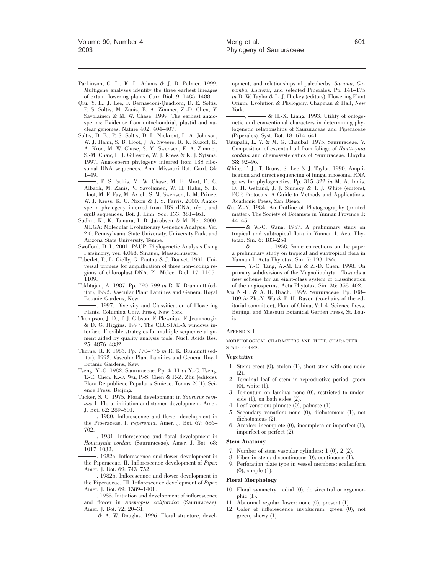- Parkinson, C. L., K. L. Adams & J. D. Palmer. 1999. Multigene analyses identify the three earliest lineages of extant flowering plants. Curr. Biol. 9: 1485–1488.
- Qiu, Y. L., J. Lee, F. Bernasconi-Quadroni, D. E. Soltis, P. S. Soltis, M. Zanis, E. A. Zimmer, Z.-D. Chen, V. Savolainen & M. W. Chase. 1999. The earliest angiosperms: Evidence from mitochondrial, plastid and nuclear genomes. Nature 402: 404–407.
- Soltis, D. E., P. S. Soltis, D. L. Nickrent, L. A. Johnson, W. J. Hahn, S. B. Hoot, J. A. Sweere, R. K. Kuzoff, K. A. Kron, M. W. Chase, S. M. Swensen, E. A. Zimmer, S.-M. Chaw, L. J. Gillespie, W. J. Kress & K. J. Sytsma. 1997. Angiosperm phylogeny inferred from 18S ribosomal DNA sequences. Ann. Missouri Bot. Gard. 84: 1–49.
- , P. S. Soltis, M. W. Chase, M. E. Mort, D. C. Albach, M. Zanis, V. Savolainen, W. H. Hahn, S. B. Hoot, M. F. Fay, M. Axtell, S. M. Swensen, L. M. Prince, W. J. Kress, K. C. Nixon & J. S. Farris. 2000. Angiosperm phylogeny inferred from 18S rDNA, *rbc*L, and *atp*B sequences. Bot. J. Linn. Soc. 133: 381–461.
- Sudhir, K., K. Tamura, I. B. Jakobsen & M. Nei. 2000. MEGA: Molecular Evolutionary Genetics Analysis, Ver. 2.0. Pennsylvania State University, University Park, and Arizona State University, Tempe.
- Swofford, D. L. 2001. PAUP: Phylogenetic Analysis Using Parsimony, ver. 4.0b8. Sinauer, Massachusetts.
- Taberlet, P., L. Gielly, G. Pautou & J. Bouvet. 1991. Universal primers for amplification of three non-coding regions of chloroplast DNA. Pl. Molec. Biol. 17: 1105– 1109.
- Takhtajan, A. 1987. Pp. 790–799 *in* R. K. Brummitt (editor), 1992. Vascular Plant Families and Genera. Royal Botanic Gardens, Kew.
- . 1997. Diversity and Classification of Flowering Plants. Columbia Univ. Press, New York.
- Thompson, J. D., T. J. Gibson, F. Plewniak, F. Jeanmougin & D. G. Higgins. 1997. The CLUSTAL-X windows interface: Flexible strategies for multiple sequence alignment aided by quality analysis tools. Nucl. Acids Res. 25: 4876–4882.
- Thorne, R. F. 1983. Pp. 770–776 *in* R. K. Brummitt (editor), 1992. Vascular Plant Families and Genera. Royal Botanic Gardens, Kew.
- Tseng, Y.-C. 1982. Saururaceae. Pp. 4–11 *in* Y.-C. Tseng, T.-C. Chen, K.-F. Wu, P.-S. Chen & P.-Z. Zhu (editors), Flora Reipublicae Popularis Sinicae. Tomus 20(1). Science Press, Beijing.
- Tucker, S. C. 1975. Floral development in *Saururus cernuus* 1. Floral initiation and stamen development. Amer. J. Bot. 62: 289–301.
- . 1980. Inflorescence and flower development in the Piperaceae. I. *Peperomia.* Amer. J. Bot. 67: 686– 702.
- . 1981. Inflorescence and floral development in *Houttuynia cordata* (Saururaceae). Amer. J. Bot. 68: 1017–1032.
- . 1982a. Inflorescence and flower development in the Piperaceae. II. Inflorescence development of *Piper.* Amer. J. Bot. 69: 743–752.
- . 1982b. Inflorescence and flower development in the Piperaceae. III. Inflorescence development of *Piper.* Amer. J. Bot. 69: 1389–1401.
- . 1985. Initiation and development of inflorescence and flower in *Anemopsis californica* (Saururaceae). Amer. J. Bot. 72: 20–31.
- & A. W. Douglas. 1996. Floral structure, devel-

opment, and relationships of paleoherbs: *Saruma, Cabomba, Lactoris,* and selected Piperales. Pp. 141–175 *in* D. W. Taylor & L. J. Hickey (editors), Flowering Plant Origin, Evolution & Phylogeny. Chapman & Hall, New York.

- & H.-X. Liang. 1993. Utility of ontogenetic and conventional characters in determining phylogenetic relationships of Saururaceae and Piperaceae (Piperales). Syst. Bot. 18: 614–641.
- Tutupalli, L. V. & M. G. Chaubal. 1975. Saururaceae. V. Composition of essential oil from foliage of *Houttuynia cordata* and chemosystematics of Saururaceae. Lloydia 38: 92–96.
- White, T. J., T. Bruns, S. Lee & J. Taylor. 1990. Amplification and direct sequencing of fungal ribosomal RNA genes for phylogenetics. Pp. 315–322 *in* M. A. Innis, D. H. Gelfand, J. J. Sninsky & T. J. White (editors), PCR Protocols: A Guide to Methods and Applications. Academic Press, San Diego.
- Wu, Z.-Y. 1984. An Outline of Phytogeography (printed matter). The Society of Botanists in Yunnan Province 1: 44–45.
- & W.-C. Wang. 1957. A preliminary study on tropical and subtropical flora in Yunnan I. Acta Phytotax. Sin. 6: 183–254.<br> $\frac{\&}{\&}$  1958.
- & . 1958. Some corrections on the paper a preliminary study on tropical and subtropical flora in Yunnan I. Acta Phytotax. Sin. 7: 193–196.
- , Y.-C. Tang, A.-M. Lu & Z.-D. Chen. 1998. On primary subdivisions of the Magnoliophyta—Towards a new scheme for an eight-class system of classification of the angiosperms. Acta Phytotax. Sin. 36: 358–402.
- Xia N.-H. & A. R. Brach. 1999. Saururaceae. Pp. 108– 109 *in* Zh.-Y. Wu & P. H. Raven (co-chairs of the editorial committee), Flora of China, Vol. 4. Science Press, Beijing, and Missouri Botanical Garden Press, St. Louis.

#### APPENDIX 1

MORPHOLOGICAL CHARACTERS AND THEIR CHARACTER STATE CODES.

## **Vegetative**

- 1. Stem: erect (0), stolon (1), short stem with one node (2).
- 2. Terminal leaf of stem in reproductive period: green (0), white (1).
- 3. Tomentum on lamina: none (0), restricted to underside (1), on both sides (2).
- 4. Leaf venation: pinnate (0), palmate (1).
- 5. Secondary venation: none (0), dichotomous (1), not dichotomous (2).
- 6. Areoles: incomplete (0), incomplete or imperfect (1), imperfect or perfect (2).

## **Stem Anatomy**

- 7. Number of stem vascular cylinders: 1 (0), 2 (2).
- 8. Fiber in stem: discontinuous (0), continuous (1).
- 9. Perforation plate type in vessel members: scalariform (0), simple (1).

#### **Floral Morphology**

- 10. Floral symmetry: radial (0), dorsiventral or zygomorphic (1).
- 11. Abnormal regular flower: none (0), present (1).
- 12. Color of inflorescence involucrum: green (0), not green, showy (1).